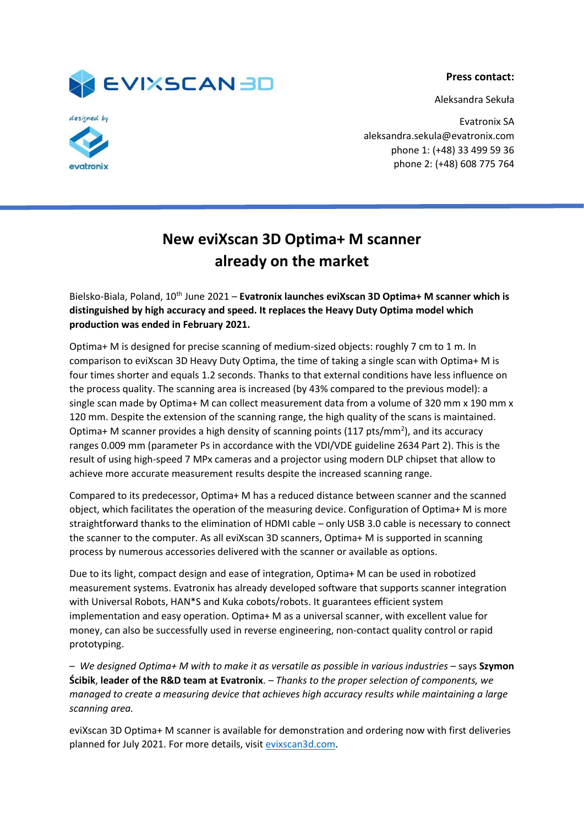**Press contact:**

Aleksandra Sekuła





Evatronix SA aleksandra.sekula@evatronix.com phone 1: (+48) 33 499 59 36 phone 2: (+48) 608 775 764

## **New eviXscan 3D Optima+ M scanner already on the market**

Bielsko-Biala, Poland, 10th June 2021 – **Evatronix launches eviXscan 3D Optima+ M scanner which is distinguished by high accuracy and speed. It replaces the Heavy Duty Optima model which production was ended in February 2021.**

Optima+ M is designed for precise scanning of medium-sized objects: roughly 7 cm to 1 m. In comparison to eviXscan 3D Heavy Duty Optima, the time of taking a single scan with Optima+ M is four times shorter and equals 1.2 seconds. Thanks to that external conditions have less influence on the process quality. The scanning area is increased (by 43% compared to the previous model): a single scan made by Optima+ M can collect measurement data from a volume of 320 mm x 190 mm x 120 mm. Despite the extension of the scanning range, the high quality of the scans is maintained. Optima+ M scanner provides a high density of scanning points (117 pts/mm<sup>2</sup>), and its accuracy ranges 0.009 mm (parameter Ps in accordance with the VDI/VDE guideline 2634 Part 2). This is the result of using high-speed 7 MPx cameras and a projector using modern DLP chipset that allow to achieve more accurate measurement results despite the increased scanning range.

Compared to its predecessor, Optima+ M has a reduced distance between scanner and the scanned object, which facilitates the operation of the measuring device. Configuration of Optima+ M is more straightforward thanks to the elimination of HDMI cable – only USB 3.0 cable is necessary to connect the scanner to the computer. As all eviXscan 3D scanners, Optima+ M is supported in scanning process by numerous accessories delivered with the scanner or available as options.

Due to its light, compact design and ease of integration, Optima+ M can be used in robotized measurement systems. Evatronix has already developed software that supports scanner integration with Universal Robots, HAN\*S and Kuka cobots/robots. It guarantees efficient system implementation and easy operation. Optima+ M as a universal scanner, with excellent value for money, can also be successfully used in reverse engineering, non-contact quality control or rapid prototyping.

*– We designed Optima+ M with to make it as versatile as possible in various industries* – says **Szymon Ścibik**, **leader of the R&D team at Evatronix**. *– Thanks to the proper selection of components, we managed to create a measuring device that achieves high accuracy results while maintaining a large scanning area.* 

eviXscan 3D Optima+ M scanner is available for demonstration and ordering now with first deliveries planned for July 2021. For more details, visit [evixscan3d.com.](https://evixscan3d.com/3d-scanners/optima-m/)